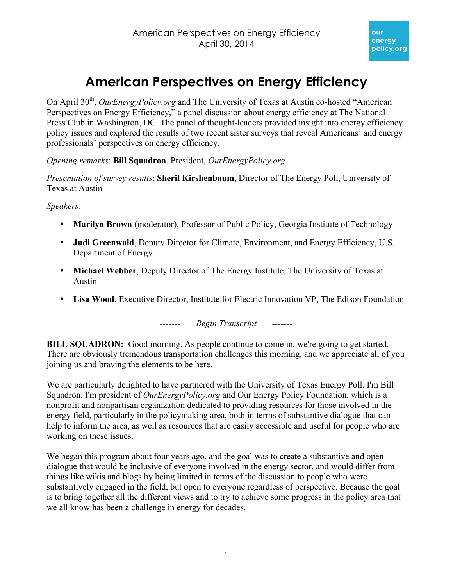# **American Perspectives on Energy Efficiency**

On April 30<sup>th</sup>, *OurEnergyPolicy.org* and The University of Texas at Austin co-hosted "American" Perspectives on Energy Efficiency," a panel discussion about energy efficiency at The National Press Club in Washington, DC. The panel of thought-leaders provided insight into energy efficiency policy issues and explored the results of two recent sister surveys that reveal Americans' and energy professionals' perspectives on energy efficiency.

*Opening remarks*: **Bill Squadron**, President, *OurEnergyPolicy.org*

*Presentation of survey results*: **Sheril Kirshenbaum**, Director of The Energy Poll, University of Texas at Austin

*Speakers*:

- **Marilyn Brown** (moderator), Professor of Public Policy, Georgia Institute of Technology
- **Judi Greenwald**, Deputy Director for Climate, Environment, and Energy Efficiency, U.S. Department of Energy
- **Michael Webber**, Deputy Director of The Energy Institute, The University of Texas at Austin
- **Lisa Wood**, Executive Director, Institute for Electric Innovation VP, The Edison Foundation

*------- Begin Transcript -------*

**BILL SQUADRON:** Good morning. As people continue to come in, we're going to get started. There are obviously tremendous transportation challenges this morning, and we appreciate all of you joining us and braving the elements to be here.

We are particularly delighted to have partnered with the University of Texas Energy Poll. I'm Bill Squadron. I'm president of *OurEnergyPolicy.org* and Our Energy Policy Foundation, which is a nonprofit and nonpartisan organization dedicated to providing resources for those involved in the energy field, particularly in the policymaking area, both in terms of substantive dialogue that can help to inform the area, as well as resources that are easily accessible and useful for people who are working on these issues.

We began this program about four years ago, and the goal was to create a substantive and open dialogue that would be inclusive of everyone involved in the energy sector, and would differ from things like wikis and blogs by being limited in terms of the discussion to people who were substantively engaged in the field, but open to everyone regardless of perspective. Because the goal is to bring together all the different views and to try to achieve some progress in the policy area that we all know has been a challenge in energy for decades.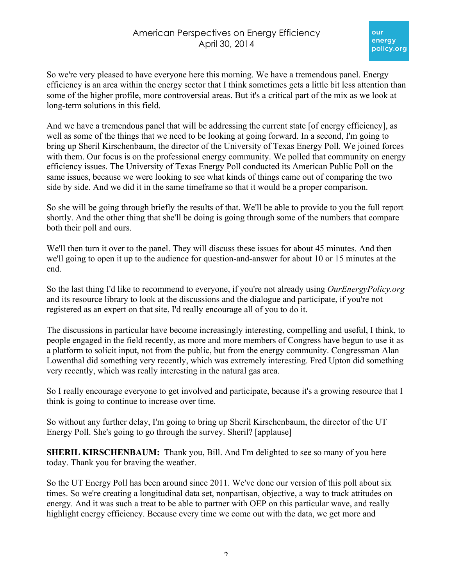So we're very pleased to have everyone here this morning. We have a tremendous panel. Energy efficiency is an area within the energy sector that I think sometimes gets a little bit less attention than some of the higher profile, more controversial areas. But it's a critical part of the mix as we look at long-term solutions in this field.

And we have a tremendous panel that will be addressing the current state [of energy efficiency], as well as some of the things that we need to be looking at going forward. In a second, I'm going to bring up Sheril Kirschenbaum, the director of the University of Texas Energy Poll. We joined forces with them. Our focus is on the professional energy community. We polled that community on energy efficiency issues. The University of Texas Energy Poll conducted its American Public Poll on the same issues, because we were looking to see what kinds of things came out of comparing the two side by side. And we did it in the same timeframe so that it would be a proper comparison.

So she will be going through briefly the results of that. We'll be able to provide to you the full report shortly. And the other thing that she'll be doing is going through some of the numbers that compare both their poll and ours.

We'll then turn it over to the panel. They will discuss these issues for about 45 minutes. And then we'll going to open it up to the audience for question-and-answer for about 10 or 15 minutes at the end.

So the last thing I'd like to recommend to everyone, if you're not already using *OurEnergyPolicy.org* and its resource library to look at the discussions and the dialogue and participate, if you're not registered as an expert on that site, I'd really encourage all of you to do it.

The discussions in particular have become increasingly interesting, compelling and useful, I think, to people engaged in the field recently, as more and more members of Congress have begun to use it as a platform to solicit input, not from the public, but from the energy community. Congressman Alan Lowenthal did something very recently, which was extremely interesting. Fred Upton did something very recently, which was really interesting in the natural gas area.

So I really encourage everyone to get involved and participate, because it's a growing resource that I think is going to continue to increase over time.

So without any further delay, I'm going to bring up Sheril Kirschenbaum, the director of the UT Energy Poll. She's going to go through the survey. Sheril? [applause]

**SHERIL KIRSCHENBAUM:** Thank you, Bill. And I'm delighted to see so many of you here today. Thank you for braving the weather.

So the UT Energy Poll has been around since 2011. We've done our version of this poll about six times. So we're creating a longitudinal data set, nonpartisan, objective, a way to track attitudes on energy. And it was such a treat to be able to partner with OEP on this particular wave, and really highlight energy efficiency. Because every time we come out with the data, we get more and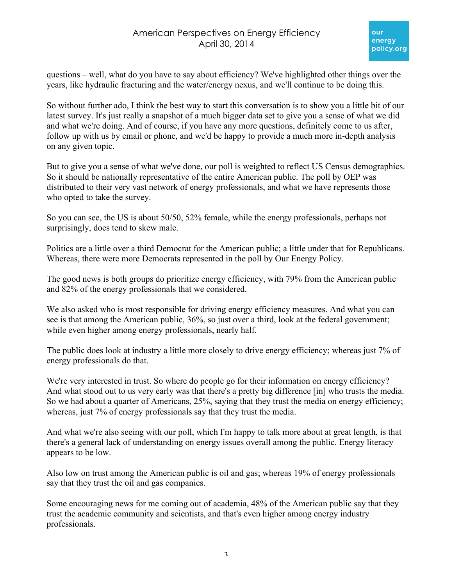questions – well, what do you have to say about efficiency? We've highlighted other things over the years, like hydraulic fracturing and the water/energy nexus, and we'll continue to be doing this.

So without further ado, I think the best way to start this conversation is to show you a little bit of our latest survey. It's just really a snapshot of a much bigger data set to give you a sense of what we did and what we're doing. And of course, if you have any more questions, definitely come to us after, follow up with us by email or phone, and we'd be happy to provide a much more in-depth analysis on any given topic.

But to give you a sense of what we've done, our poll is weighted to reflect US Census demographics. So it should be nationally representative of the entire American public. The poll by OEP was distributed to their very vast network of energy professionals, and what we have represents those who opted to take the survey.

So you can see, the US is about 50/50, 52% female, while the energy professionals, perhaps not surprisingly, does tend to skew male.

Politics are a little over a third Democrat for the American public; a little under that for Republicans. Whereas, there were more Democrats represented in the poll by Our Energy Policy.

The good news is both groups do prioritize energy efficiency, with 79% from the American public and 82% of the energy professionals that we considered.

We also asked who is most responsible for driving energy efficiency measures. And what you can see is that among the American public, 36%, so just over a third, look at the federal government; while even higher among energy professionals, nearly half.

The public does look at industry a little more closely to drive energy efficiency; whereas just 7% of energy professionals do that.

We're very interested in trust. So where do people go for their information on energy efficiency? And what stood out to us very early was that there's a pretty big difference [in] who trusts the media. So we had about a quarter of Americans, 25%, saying that they trust the media on energy efficiency; whereas, just 7% of energy professionals say that they trust the media.

And what we're also seeing with our poll, which I'm happy to talk more about at great length, is that there's a general lack of understanding on energy issues overall among the public. Energy literacy appears to be low.

Also low on trust among the American public is oil and gas; whereas 19% of energy professionals say that they trust the oil and gas companies.

Some encouraging news for me coming out of academia, 48% of the American public say that they trust the academic community and scientists, and that's even higher among energy industry professionals.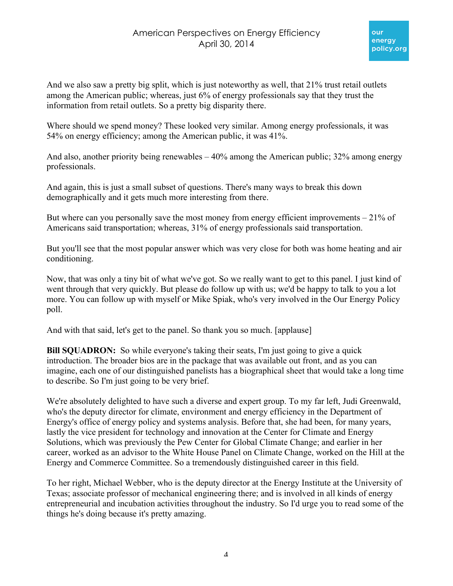

And we also saw a pretty big split, which is just noteworthy as well, that 21% trust retail outlets among the American public; whereas, just 6% of energy professionals say that they trust the information from retail outlets. So a pretty big disparity there.

Where should we spend money? These looked very similar. Among energy professionals, it was 54% on energy efficiency; among the American public, it was 41%.

And also, another priority being renewables  $-40\%$  among the American public; 32% among energy professionals.

And again, this is just a small subset of questions. There's many ways to break this down demographically and it gets much more interesting from there.

But where can you personally save the most money from energy efficient improvements  $-21\%$  of Americans said transportation; whereas, 31% of energy professionals said transportation.

But you'll see that the most popular answer which was very close for both was home heating and air conditioning.

Now, that was only a tiny bit of what we've got. So we really want to get to this panel. I just kind of went through that very quickly. But please do follow up with us; we'd be happy to talk to you a lot more. You can follow up with myself or Mike Spiak, who's very involved in the Our Energy Policy poll.

And with that said, let's get to the panel. So thank you so much. [applause]

**Bill SQUADRON:** So while everyone's taking their seats, I'm just going to give a quick introduction. The broader bios are in the package that was available out front, and as you can imagine, each one of our distinguished panelists has a biographical sheet that would take a long time to describe. So I'm just going to be very brief.

We're absolutely delighted to have such a diverse and expert group. To my far left, Judi Greenwald, who's the deputy director for climate, environment and energy efficiency in the Department of Energy's office of energy policy and systems analysis. Before that, she had been, for many years, lastly the vice president for technology and innovation at the Center for Climate and Energy Solutions, which was previously the Pew Center for Global Climate Change; and earlier in her career, worked as an advisor to the White House Panel on Climate Change, worked on the Hill at the Energy and Commerce Committee. So a tremendously distinguished career in this field.

To her right, Michael Webber, who is the deputy director at the Energy Institute at the University of Texas; associate professor of mechanical engineering there; and is involved in all kinds of energy entrepreneurial and incubation activities throughout the industry. So I'd urge you to read some of the things he's doing because it's pretty amazing.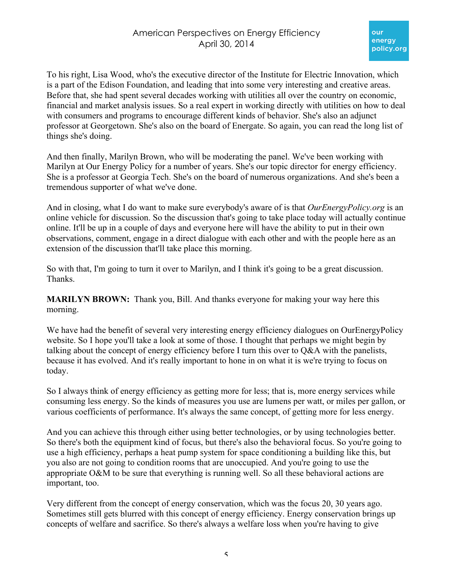To his right, Lisa Wood, who's the executive director of the Institute for Electric Innovation, which is a part of the Edison Foundation, and leading that into some very interesting and creative areas. Before that, she had spent several decades working with utilities all over the country on economic, financial and market analysis issues. So a real expert in working directly with utilities on how to deal with consumers and programs to encourage different kinds of behavior. She's also an adjunct professor at Georgetown. She's also on the board of Energate. So again, you can read the long list of things she's doing.

And then finally, Marilyn Brown, who will be moderating the panel. We've been working with Marilyn at Our Energy Policy for a number of years. She's our topic director for energy efficiency. She is a professor at Georgia Tech. She's on the board of numerous organizations. And she's been a tremendous supporter of what we've done.

And in closing, what I do want to make sure everybody's aware of is that *OurEnergyPolicy.org* is an online vehicle for discussion. So the discussion that's going to take place today will actually continue online. It'll be up in a couple of days and everyone here will have the ability to put in their own observations, comment, engage in a direct dialogue with each other and with the people here as an extension of the discussion that'll take place this morning.

So with that, I'm going to turn it over to Marilyn, and I think it's going to be a great discussion. Thanks.

**MARILYN BROWN:** Thank you, Bill. And thanks everyone for making your way here this morning.

We have had the benefit of several very interesting energy efficiency dialogues on OurEnergyPolicy website. So I hope you'll take a look at some of those. I thought that perhaps we might begin by talking about the concept of energy efficiency before I turn this over to Q&A with the panelists, because it has evolved. And it's really important to hone in on what it is we're trying to focus on today.

So I always think of energy efficiency as getting more for less; that is, more energy services while consuming less energy. So the kinds of measures you use are lumens per watt, or miles per gallon, or various coefficients of performance. It's always the same concept, of getting more for less energy.

And you can achieve this through either using better technologies, or by using technologies better. So there's both the equipment kind of focus, but there's also the behavioral focus. So you're going to use a high efficiency, perhaps a heat pump system for space conditioning a building like this, but you also are not going to condition rooms that are unoccupied. And you're going to use the appropriate O&M to be sure that everything is running well. So all these behavioral actions are important, too.

Very different from the concept of energy conservation, which was the focus 20, 30 years ago. Sometimes still gets blurred with this concept of energy efficiency. Energy conservation brings up concepts of welfare and sacrifice. So there's always a welfare loss when you're having to give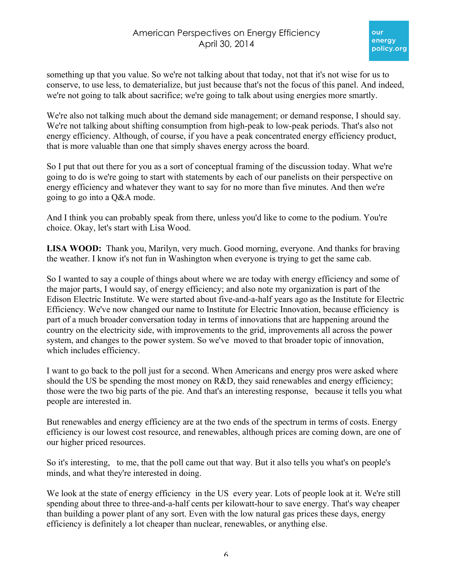something up that you value. So we're not talking about that today, not that it's not wise for us to conserve, to use less, to dematerialize, but just because that's not the focus of this panel. And indeed, we're not going to talk about sacrifice; we're going to talk about using energies more smartly.

We're also not talking much about the demand side management; or demand response, I should say. We're not talking about shifting consumption from high-peak to low-peak periods. That's also not energy efficiency. Although, of course, if you have a peak concentrated energy efficiency product, that is more valuable than one that simply shaves energy across the board.

So I put that out there for you as a sort of conceptual framing of the discussion today. What we're going to do is we're going to start with statements by each of our panelists on their perspective on energy efficiency and whatever they want to say for no more than five minutes. And then we're going to go into a Q&A mode.

And I think you can probably speak from there, unless you'd like to come to the podium. You're choice. Okay, let's start with Lisa Wood.

**LISA WOOD:** Thank you, Marilyn, very much. Good morning, everyone. And thanks for braving the weather. I know it's not fun in Washington when everyone is trying to get the same cab.

So I wanted to say a couple of things about where we are today with energy efficiency and some of the major parts, I would say, of energy efficiency; and also note my organization is part of the Edison Electric Institute. We were started about five-and-a-half years ago as the Institute for Electric Efficiency. We've now changed our name to Institute for Electric Innovation, because efficiency is part of a much broader conversation today in terms of innovations that are happening around the country on the electricity side, with improvements to the grid, improvements all across the power system, and changes to the power system. So we've moved to that broader topic of innovation, which includes efficiency.

I want to go back to the poll just for a second. When Americans and energy pros were asked where should the US be spending the most money on R&D, they said renewables and energy efficiency; those were the two big parts of the pie. And that's an interesting response, because it tells you what people are interested in.

But renewables and energy efficiency are at the two ends of the spectrum in terms of costs. Energy efficiency is our lowest cost resource, and renewables, although prices are coming down, are one of our higher priced resources.

So it's interesting, to me, that the poll came out that way. But it also tells you what's on people's minds, and what they're interested in doing.

We look at the state of energy efficiency in the US every year. Lots of people look at it. We're still spending about three to three-and-a-half cents per kilowatt-hour to save energy. That's way cheaper than building a power plant of any sort. Even with the low natural gas prices these days, energy efficiency is definitely a lot cheaper than nuclear, renewables, or anything else.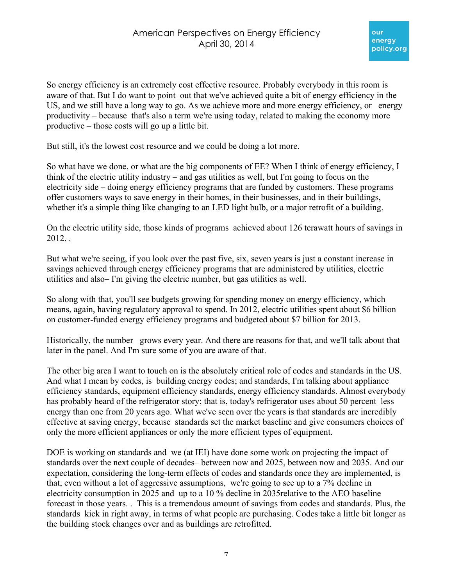So energy efficiency is an extremely cost effective resource. Probably everybody in this room is aware of that. But I do want to point out that we've achieved quite a bit of energy efficiency in the US, and we still have a long way to go. As we achieve more and more energy efficiency, or energy productivity – because that's also a term we're using today, related to making the economy more productive – those costs will go up a little bit.

But still, it's the lowest cost resource and we could be doing a lot more.

So what have we done, or what are the big components of EE? When I think of energy efficiency, I think of the electric utility industry – and gas utilities as well, but I'm going to focus on the electricity side – doing energy efficiency programs that are funded by customers. These programs offer customers ways to save energy in their homes, in their businesses, and in their buildings, whether it's a simple thing like changing to an LED light bulb, or a major retrofit of a building.

On the electric utility side, those kinds of programs achieved about 126 terawatt hours of savings in 2012. .

But what we're seeing, if you look over the past five, six, seven years is just a constant increase in savings achieved through energy efficiency programs that are administered by utilities, electric utilities and also– I'm giving the electric number, but gas utilities as well.

So along with that, you'll see budgets growing for spending money on energy efficiency, which means, again, having regulatory approval to spend. In 2012, electric utilities spent about \$6 billion on customer-funded energy efficiency programs and budgeted about \$7 billion for 2013.

Historically, the number grows every year. And there are reasons for that, and we'll talk about that later in the panel. And I'm sure some of you are aware of that.

The other big area I want to touch on is the absolutely critical role of codes and standards in the US. And what I mean by codes, is building energy codes; and standards, I'm talking about appliance efficiency standards, equipment efficiency standards, energy efficiency standards. Almost everybody has probably heard of the refrigerator story; that is, today's refrigerator uses about 50 percent less energy than one from 20 years ago. What we've seen over the years is that standards are incredibly effective at saving energy, because standards set the market baseline and give consumers choices of only the more efficient appliances or only the more efficient types of equipment.

DOE is working on standards and we (at IEI) have done some work on projecting the impact of standards over the next couple of decades– between now and 2025, between now and 2035. And our expectation, considering the long-term effects of codes and standards once they are implemented, is that, even without a lot of aggressive assumptions, we're going to see up to a 7% decline in electricity consumption in 2025 and up to a 10 % decline in 2035relative to the AEO baseline forecast in those years. . This is a tremendous amount of savings from codes and standards. Plus, the standards kick in right away, in terms of what people are purchasing. Codes take a little bit longer as the building stock changes over and as buildings are retrofitted.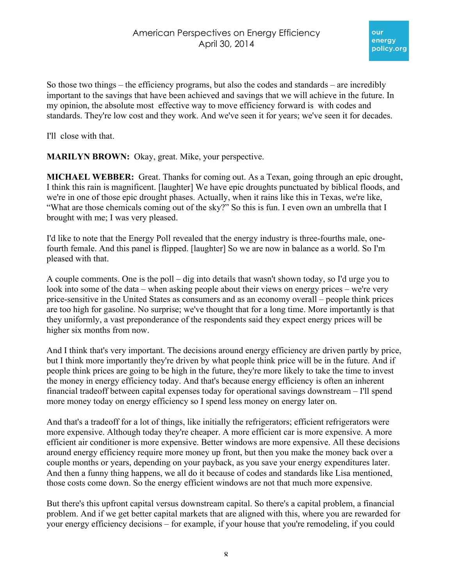So those two things – the efficiency programs, but also the codes and standards – are incredibly important to the savings that have been achieved and savings that we will achieve in the future. In my opinion, the absolute most effective way to move efficiency forward is with codes and standards. They're low cost and they work. And we've seen it for years; we've seen it for decades.

I'll close with that.

**MARILYN BROWN:** Okay, great. Mike, your perspective.

**MICHAEL WEBBER:** Great. Thanks for coming out. As a Texan, going through an epic drought, I think this rain is magnificent. [laughter] We have epic droughts punctuated by biblical floods, and we're in one of those epic drought phases. Actually, when it rains like this in Texas, we're like, "What are those chemicals coming out of the sky?" So this is fun. I even own an umbrella that I brought with me; I was very pleased.

I'd like to note that the Energy Poll revealed that the energy industry is three-fourths male, onefourth female. And this panel is flipped. [laughter] So we are now in balance as a world. So I'm pleased with that.

A couple comments. One is the poll – dig into details that wasn't shown today, so I'd urge you to look into some of the data – when asking people about their views on energy prices – we're very price-sensitive in the United States as consumers and as an economy overall – people think prices are too high for gasoline. No surprise; we've thought that for a long time. More importantly is that they uniformly, a vast preponderance of the respondents said they expect energy prices will be higher six months from now.

And I think that's very important. The decisions around energy efficiency are driven partly by price, but I think more importantly they're driven by what people think price will be in the future. And if people think prices are going to be high in the future, they're more likely to take the time to invest the money in energy efficiency today. And that's because energy efficiency is often an inherent financial tradeoff between capital expenses today for operational savings downstream – I'll spend more money today on energy efficiency so I spend less money on energy later on.

And that's a tradeoff for a lot of things, like initially the refrigerators; efficient refrigerators were more expensive. Although today they're cheaper. A more efficient car is more expensive. A more efficient air conditioner is more expensive. Better windows are more expensive. All these decisions around energy efficiency require more money up front, but then you make the money back over a couple months or years, depending on your payback, as you save your energy expenditures later. And then a funny thing happens, we all do it because of codes and standards like Lisa mentioned, those costs come down. So the energy efficient windows are not that much more expensive.

But there's this upfront capital versus downstream capital. So there's a capital problem, a financial problem. And if we get better capital markets that are aligned with this, where you are rewarded for your energy efficiency decisions – for example, if your house that you're remodeling, if you could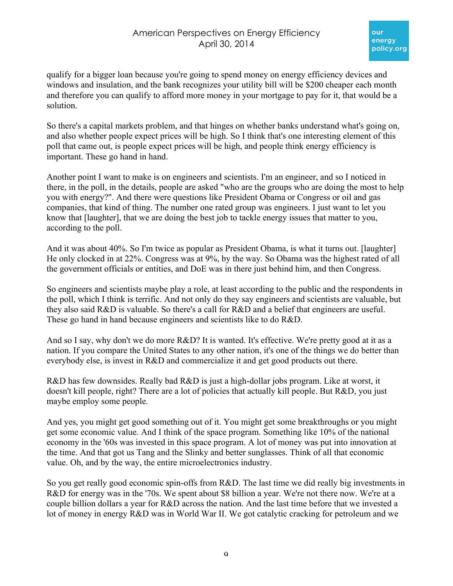# American Perspectives on Energy Efficiency April 30, 2014

qualify for a bigger loan because you're going to spend money on energy efficiency devices and windows and insulation, and the bank recognizes your utility bill will be \$200 cheaper each month and therefore you can qualify to afford more money in your mortgage to pay for it, that would be a solution.

So there's a capital markets problem, and that hinges on whether banks understand what's going on, and also whether people expect prices will be high. So I think that's one interesting element of this poll that came out, is people expect prices will be high, and people think energy efficiency is important. These go hand in hand.

Another point I want to make is on engineers and scientists. I'm an engineer, and so I noticed in there, in the poll, in the details, people are asked "who are the groups who are doing the most to help you with energy?". And there were questions like President Obama or Congress or oil and gas companies, that kind of thing. The number one rated group was engineers. I just want to let you know that [laughter], that we are doing the best job to tackle energy issues that matter to you, according to the poll.

And it was about 40%. So I'm twice as popular as President Obama, is what it turns out. [laughter] He only clocked in at 22%. Congress was at 9%, by the way. So Obama was the highest rated of all the government officials or entities, and DoE was in there just behind him, and then Congress.

So engineers and scientists maybe play a role, at least according to the public and the respondents in the poll, which I think is terrific. And not only do they say engineers and scientists are valuable, but they also said R&D is valuable. So there's a call for R&D and a belief that engineers are useful. These go hand in hand because engineers and scientists like to do R&D.

And so I say, why don't we do more R&D? It is wanted. It's effective. We're pretty good at it as a nation. If you compare the United States to any other nation, it's one of the things we do better than everybody else, is invest in R&D and commercialize it and get good products out there.

R&D has few downsides. Really bad R&D is just a high-dollar jobs program. Like at worst, it doesn't kill people, right? There are a lot of policies that actually kill people. But R&D, you just maybe employ some people.

And yes, you might get good something out of it. You might get some breakthroughs or you might get some economic value. And I think of the space program. Something like 10% of the national economy in the '60s was invested in this space program. A lot of money was put into innovation at the time. And that got us Tang and the Slinky and better sunglasses. Think of all that economic value. Oh, and by the way, the entire microelectronics industry.

So you get really good economic spin-offs from R&D. The last time we did really big investments in R&D for energy was in the '70s. We spent about \$8 billion a year. We're not there now. We're at a couple billion dollars a year for R&D across the nation. And the last time before that we invested a lot of money in energy R&D was in World War II. We got catalytic cracking for petroleum and we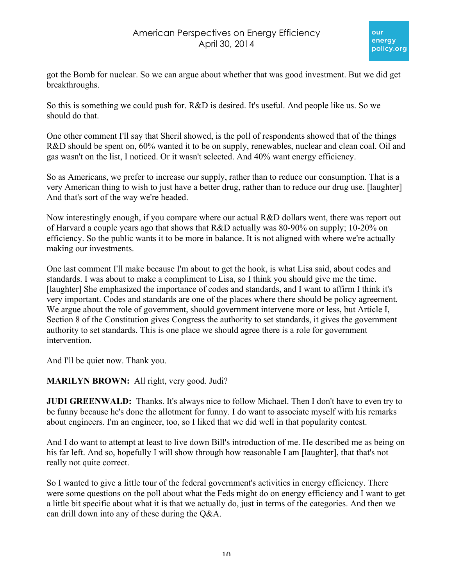got the Bomb for nuclear. So we can argue about whether that was good investment. But we did get breakthroughs.

So this is something we could push for. R&D is desired. It's useful. And people like us. So we should do that.

One other comment I'll say that Sheril showed, is the poll of respondents showed that of the things R&D should be spent on, 60% wanted it to be on supply, renewables, nuclear and clean coal. Oil and gas wasn't on the list, I noticed. Or it wasn't selected. And 40% want energy efficiency.

So as Americans, we prefer to increase our supply, rather than to reduce our consumption. That is a very American thing to wish to just have a better drug, rather than to reduce our drug use. [laughter] And that's sort of the way we're headed.

Now interestingly enough, if you compare where our actual R&D dollars went, there was report out of Harvard a couple years ago that shows that R&D actually was 80-90% on supply; 10-20% on efficiency. So the public wants it to be more in balance. It is not aligned with where we're actually making our investments.

One last comment I'll make because I'm about to get the hook, is what Lisa said, about codes and standards. I was about to make a compliment to Lisa, so I think you should give me the time. [laughter] She emphasized the importance of codes and standards, and I want to affirm I think it's very important. Codes and standards are one of the places where there should be policy agreement. We argue about the role of government, should government intervene more or less, but Article I, Section 8 of the Constitution gives Congress the authority to set standards, it gives the government authority to set standards. This is one place we should agree there is a role for government intervention.

And I'll be quiet now. Thank you.

#### **MARILYN BROWN:** All right, very good. Judi?

**JUDI GREENWALD:** Thanks. It's always nice to follow Michael. Then I don't have to even try to be funny because he's done the allotment for funny. I do want to associate myself with his remarks about engineers. I'm an engineer, too, so I liked that we did well in that popularity contest.

And I do want to attempt at least to live down Bill's introduction of me. He described me as being on his far left. And so, hopefully I will show through how reasonable I am [laughter], that that's not really not quite correct.

So I wanted to give a little tour of the federal government's activities in energy efficiency. There were some questions on the poll about what the Feds might do on energy efficiency and I want to get a little bit specific about what it is that we actually do, just in terms of the categories. And then we can drill down into any of these during the Q&A.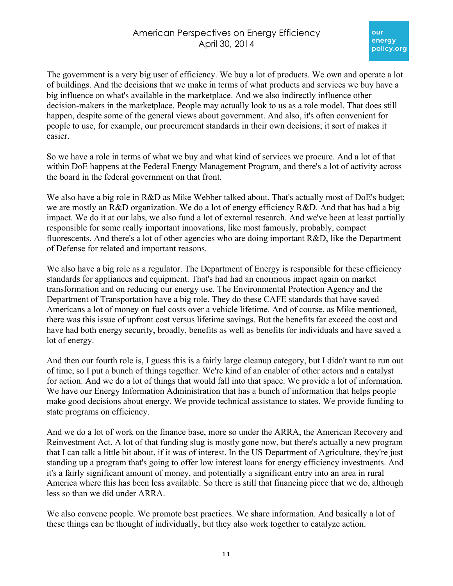The government is a very big user of efficiency. We buy a lot of products. We own and operate a lot of buildings. And the decisions that we make in terms of what products and services we buy have a big influence on what's available in the marketplace. And we also indirectly influence other decision-makers in the marketplace. People may actually look to us as a role model. That does still happen, despite some of the general views about government. And also, it's often convenient for people to use, for example, our procurement standards in their own decisions; it sort of makes it easier.

So we have a role in terms of what we buy and what kind of services we procure. And a lot of that within DoE happens at the Federal Energy Management Program, and there's a lot of activity across the board in the federal government on that front.

We also have a big role in R&D as Mike Webber talked about. That's actually most of DoE's budget; we are mostly an R&D organization. We do a lot of energy efficiency R&D. And that has had a big impact. We do it at our labs, we also fund a lot of external research. And we've been at least partially responsible for some really important innovations, like most famously, probably, compact fluorescents. And there's a lot of other agencies who are doing important R&D, like the Department of Defense for related and important reasons.

We also have a big role as a regulator. The Department of Energy is responsible for these efficiency standards for appliances and equipment. That's had had an enormous impact again on market transformation and on reducing our energy use. The Environmental Protection Agency and the Department of Transportation have a big role. They do these CAFE standards that have saved Americans a lot of money on fuel costs over a vehicle lifetime. And of course, as Mike mentioned, there was this issue of upfront cost versus lifetime savings. But the benefits far exceed the cost and have had both energy security, broadly, benefits as well as benefits for individuals and have saved a lot of energy.

And then our fourth role is, I guess this is a fairly large cleanup category, but I didn't want to run out of time, so I put a bunch of things together. We're kind of an enabler of other actors and a catalyst for action. And we do a lot of things that would fall into that space. We provide a lot of information. We have our Energy Information Administration that has a bunch of information that helps people make good decisions about energy. We provide technical assistance to states. We provide funding to state programs on efficiency.

And we do a lot of work on the finance base, more so under the ARRA, the American Recovery and Reinvestment Act. A lot of that funding slug is mostly gone now, but there's actually a new program that I can talk a little bit about, if it was of interest. In the US Department of Agriculture, they're just standing up a program that's going to offer low interest loans for energy efficiency investments. And it's a fairly significant amount of money, and potentially a significant entry into an area in rural America where this has been less available. So there is still that financing piece that we do, although less so than we did under ARRA.

We also convene people. We promote best practices. We share information. And basically a lot of these things can be thought of individually, but they also work together to catalyze action.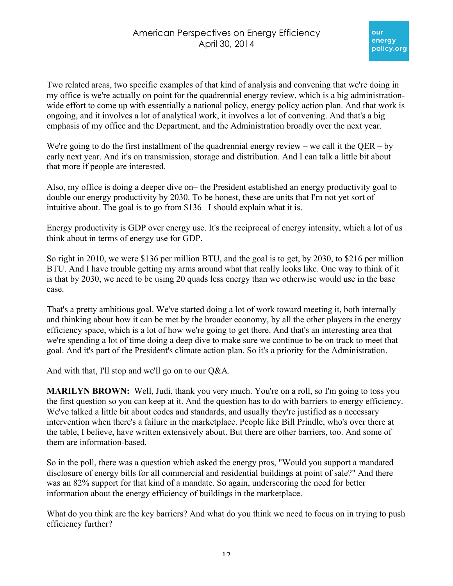Two related areas, two specific examples of that kind of analysis and convening that we're doing in my office is we're actually on point for the quadrennial energy review, which is a big administrationwide effort to come up with essentially a national policy, energy policy action plan. And that work is ongoing, and it involves a lot of analytical work, it involves a lot of convening. And that's a big emphasis of my office and the Department, and the Administration broadly over the next year.

We're going to do the first installment of the quadrennial energy review – we call it the QER – by early next year. And it's on transmission, storage and distribution. And I can talk a little bit about that more if people are interested.

Also, my office is doing a deeper dive on– the President established an energy productivity goal to double our energy productivity by 2030. To be honest, these are units that I'm not yet sort of intuitive about. The goal is to go from \$136– I should explain what it is.

Energy productivity is GDP over energy use. It's the reciprocal of energy intensity, which a lot of us think about in terms of energy use for GDP.

So right in 2010, we were \$136 per million BTU, and the goal is to get, by 2030, to \$216 per million BTU. And I have trouble getting my arms around what that really looks like. One way to think of it is that by 2030, we need to be using 20 quads less energy than we otherwise would use in the base case.

That's a pretty ambitious goal. We've started doing a lot of work toward meeting it, both internally and thinking about how it can be met by the broader economy, by all the other players in the energy efficiency space, which is a lot of how we're going to get there. And that's an interesting area that we're spending a lot of time doing a deep dive to make sure we continue to be on track to meet that goal. And it's part of the President's climate action plan. So it's a priority for the Administration.

And with that, I'll stop and we'll go on to our Q&A.

**MARILYN BROWN:** Well, Judi, thank you very much. You're on a roll, so I'm going to toss you the first question so you can keep at it. And the question has to do with barriers to energy efficiency. We've talked a little bit about codes and standards, and usually they're justified as a necessary intervention when there's a failure in the marketplace. People like Bill Prindle, who's over there at the table, I believe, have written extensively about. But there are other barriers, too. And some of them are information-based.

So in the poll, there was a question which asked the energy pros, "Would you support a mandated disclosure of energy bills for all commercial and residential buildings at point of sale?" And there was an 82% support for that kind of a mandate. So again, underscoring the need for better information about the energy efficiency of buildings in the marketplace.

What do you think are the key barriers? And what do you think we need to focus on in trying to push efficiency further?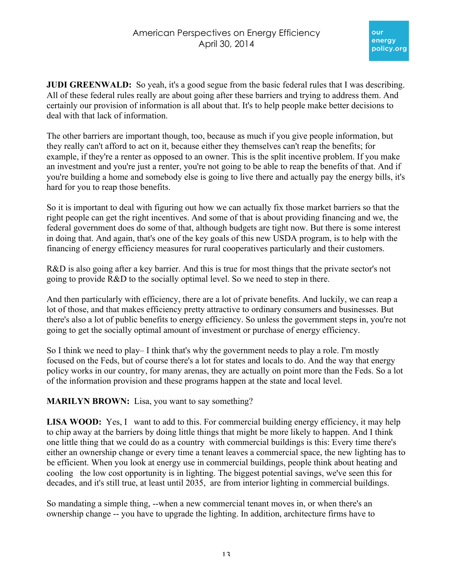**JUDI GREENWALD:** So yeah, it's a good segue from the basic federal rules that I was describing. All of these federal rules really are about going after these barriers and trying to address them. And certainly our provision of information is all about that. It's to help people make better decisions to deal with that lack of information.

The other barriers are important though, too, because as much if you give people information, but they really can't afford to act on it, because either they themselves can't reap the benefits; for example, if they're a renter as opposed to an owner. This is the split incentive problem. If you make an investment and you're just a renter, you're not going to be able to reap the benefits of that. And if you're building a home and somebody else is going to live there and actually pay the energy bills, it's hard for you to reap those benefits.

So it is important to deal with figuring out how we can actually fix those market barriers so that the right people can get the right incentives. And some of that is about providing financing and we, the federal government does do some of that, although budgets are tight now. But there is some interest in doing that. And again, that's one of the key goals of this new USDA program, is to help with the financing of energy efficiency measures for rural cooperatives particularly and their customers.

R&D is also going after a key barrier. And this is true for most things that the private sector's not going to provide R&D to the socially optimal level. So we need to step in there.

And then particularly with efficiency, there are a lot of private benefits. And luckily, we can reap a lot of those, and that makes efficiency pretty attractive to ordinary consumers and businesses. But there's also a lot of public benefits to energy efficiency. So unless the government steps in, you're not going to get the socially optimal amount of investment or purchase of energy efficiency.

So I think we need to play– I think that's why the government needs to play a role. I'm mostly focused on the Feds, but of course there's a lot for states and locals to do. And the way that energy policy works in our country, for many arenas, they are actually on point more than the Feds. So a lot of the information provision and these programs happen at the state and local level.

**MARILYN BROWN:** Lisa, you want to say something?

**LISA WOOD:** Yes, I want to add to this. For commercial building energy efficiency, it may help to chip away at the barriers by doing little things that might be more likely to happen. And I think one little thing that we could do as a country with commercial buildings is this: Every time there's either an ownership change or every time a tenant leaves a commercial space, the new lighting has to be efficient. When you look at energy use in commercial buildings, people think about heating and cooling the low cost opportunity is in lighting. The biggest potential savings, we've seen this for decades, and it's still true, at least until 2035, are from interior lighting in commercial buildings.

So mandating a simple thing, --when a new commercial tenant moves in, or when there's an ownership change -- you have to upgrade the lighting. In addition, architecture firms have to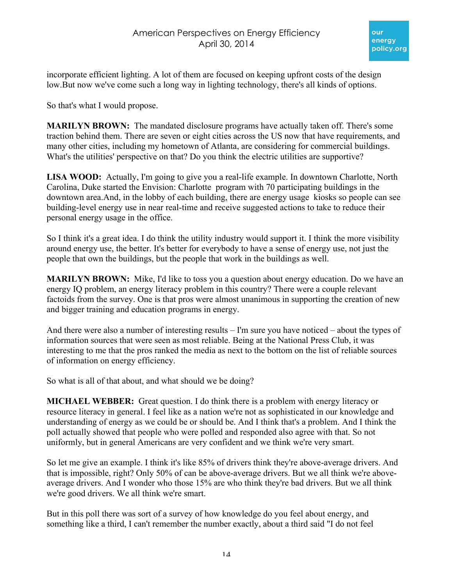incorporate efficient lighting. A lot of them are focused on keeping upfront costs of the design low.But now we've come such a long way in lighting technology, there's all kinds of options.

So that's what I would propose.

**MARILYN BROWN:** The mandated disclosure programs have actually taken off. There's some traction behind them. There are seven or eight cities across the US now that have requirements, and many other cities, including my hometown of Atlanta, are considering for commercial buildings. What's the utilities' perspective on that? Do you think the electric utilities are supportive?

**LISA WOOD:** Actually, I'm going to give you a real-life example. In downtown Charlotte, North Carolina, Duke started the Envision: Charlotte program with 70 participating buildings in the downtown area.And, in the lobby of each building, there are energy usage kiosks so people can see building-level energy use in near real-time and receive suggested actions to take to reduce their personal energy usage in the office.

So I think it's a great idea. I do think the utility industry would support it. I think the more visibility around energy use, the better. It's better for everybody to have a sense of energy use, not just the people that own the buildings, but the people that work in the buildings as well.

**MARILYN BROWN:** Mike, I'd like to toss you a question about energy education. Do we have an energy IQ problem, an energy literacy problem in this country? There were a couple relevant factoids from the survey. One is that pros were almost unanimous in supporting the creation of new and bigger training and education programs in energy.

And there were also a number of interesting results – I'm sure you have noticed – about the types of information sources that were seen as most reliable. Being at the National Press Club, it was interesting to me that the pros ranked the media as next to the bottom on the list of reliable sources of information on energy efficiency.

So what is all of that about, and what should we be doing?

**MICHAEL WEBBER:** Great question. I do think there is a problem with energy literacy or resource literacy in general. I feel like as a nation we're not as sophisticated in our knowledge and understanding of energy as we could be or should be. And I think that's a problem. And I think the poll actually showed that people who were polled and responded also agree with that. So not uniformly, but in general Americans are very confident and we think we're very smart.

So let me give an example. I think it's like 85% of drivers think they're above-average drivers. And that is impossible, right? Only 50% of can be above-average drivers. But we all think we're aboveaverage drivers. And I wonder who those 15% are who think they're bad drivers. But we all think we're good drivers. We all think we're smart.

But in this poll there was sort of a survey of how knowledge do you feel about energy, and something like a third, I can't remember the number exactly, about a third said "I do not feel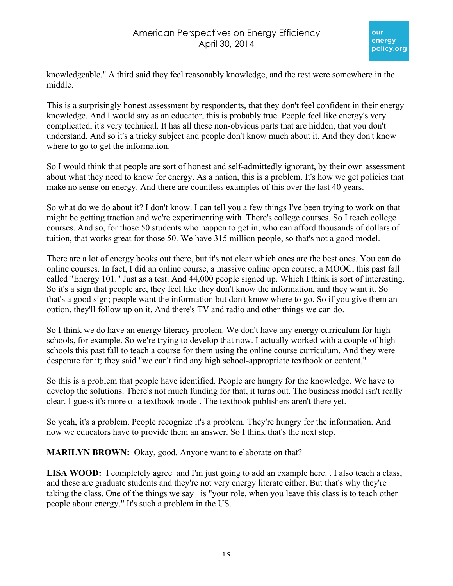knowledgeable." A third said they feel reasonably knowledge, and the rest were somewhere in the middle.

This is a surprisingly honest assessment by respondents, that they don't feel confident in their energy knowledge. And I would say as an educator, this is probably true. People feel like energy's very complicated, it's very technical. It has all these non-obvious parts that are hidden, that you don't understand. And so it's a tricky subject and people don't know much about it. And they don't know where to go to get the information.

So I would think that people are sort of honest and self-admittedly ignorant, by their own assessment about what they need to know for energy. As a nation, this is a problem. It's how we get policies that make no sense on energy. And there are countless examples of this over the last 40 years.

So what do we do about it? I don't know. I can tell you a few things I've been trying to work on that might be getting traction and we're experimenting with. There's college courses. So I teach college courses. And so, for those 50 students who happen to get in, who can afford thousands of dollars of tuition, that works great for those 50. We have 315 million people, so that's not a good model.

There are a lot of energy books out there, but it's not clear which ones are the best ones. You can do online courses. In fact, I did an online course, a massive online open course, a MOOC, this past fall called "Energy 101." Just as a test. And 44,000 people signed up. Which I think is sort of interesting. So it's a sign that people are, they feel like they don't know the information, and they want it. So that's a good sign; people want the information but don't know where to go. So if you give them an option, they'll follow up on it. And there's TV and radio and other things we can do.

So I think we do have an energy literacy problem. We don't have any energy curriculum for high schools, for example. So we're trying to develop that now. I actually worked with a couple of high schools this past fall to teach a course for them using the online course curriculum. And they were desperate for it; they said "we can't find any high school-appropriate textbook or content."

So this is a problem that people have identified. People are hungry for the knowledge. We have to develop the solutions. There's not much funding for that, it turns out. The business model isn't really clear. I guess it's more of a textbook model. The textbook publishers aren't there yet.

So yeah, it's a problem. People recognize it's a problem. They're hungry for the information. And now we educators have to provide them an answer. So I think that's the next step.

**MARILYN BROWN:** Okay, good. Anyone want to elaborate on that?

LISA WOOD: I completely agree and I'm just going to add an example here. I also teach a class, and these are graduate students and they're not very energy literate either. But that's why they're taking the class. One of the things we say is "your role, when you leave this class is to teach other people about energy." It's such a problem in the US.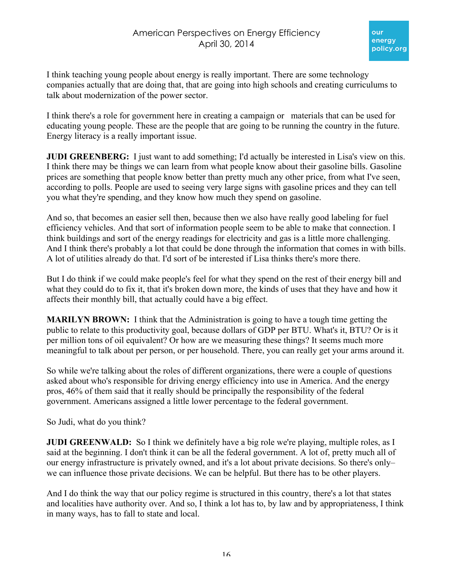

I think teaching young people about energy is really important. There are some technology companies actually that are doing that, that are going into high schools and creating curriculums to talk about modernization of the power sector.

I think there's a role for government here in creating a campaign or materials that can be used for educating young people. These are the people that are going to be running the country in the future. Energy literacy is a really important issue.

**JUDI GREENBERG:** I just want to add something; I'd actually be interested in Lisa's view on this. I think there may be things we can learn from what people know about their gasoline bills. Gasoline prices are something that people know better than pretty much any other price, from what I've seen, according to polls. People are used to seeing very large signs with gasoline prices and they can tell you what they're spending, and they know how much they spend on gasoline.

And so, that becomes an easier sell then, because then we also have really good labeling for fuel efficiency vehicles. And that sort of information people seem to be able to make that connection. I think buildings and sort of the energy readings for electricity and gas is a little more challenging. And I think there's probably a lot that could be done through the information that comes in with bills. A lot of utilities already do that. I'd sort of be interested if Lisa thinks there's more there.

But I do think if we could make people's feel for what they spend on the rest of their energy bill and what they could do to fix it, that it's broken down more, the kinds of uses that they have and how it affects their monthly bill, that actually could have a big effect.

**MARILYN BROWN:** I think that the Administration is going to have a tough time getting the public to relate to this productivity goal, because dollars of GDP per BTU. What's it, BTU? Or is it per million tons of oil equivalent? Or how are we measuring these things? It seems much more meaningful to talk about per person, or per household. There, you can really get your arms around it.

So while we're talking about the roles of different organizations, there were a couple of questions asked about who's responsible for driving energy efficiency into use in America. And the energy pros, 46% of them said that it really should be principally the responsibility of the federal government. Americans assigned a little lower percentage to the federal government.

So Judi, what do you think?

**JUDI GREENWALD:** So I think we definitely have a big role we're playing, multiple roles, as I said at the beginning. I don't think it can be all the federal government. A lot of, pretty much all of our energy infrastructure is privately owned, and it's a lot about private decisions. So there's only– we can influence those private decisions. We can be helpful. But there has to be other players.

And I do think the way that our policy regime is structured in this country, there's a lot that states and localities have authority over. And so, I think a lot has to, by law and by appropriateness, I think in many ways, has to fall to state and local.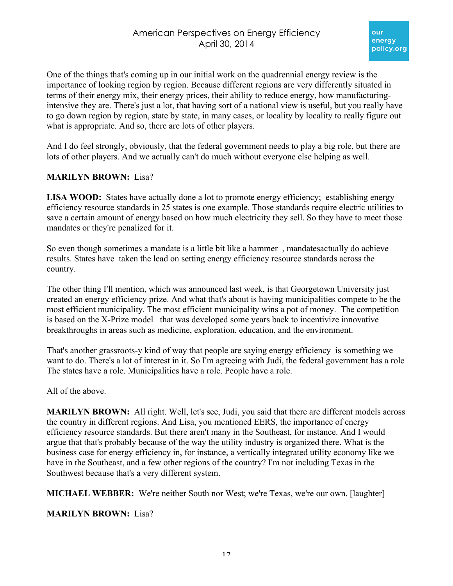One of the things that's coming up in our initial work on the quadrennial energy review is the importance of looking region by region. Because different regions are very differently situated in terms of their energy mix, their energy prices, their ability to reduce energy, how manufacturingintensive they are. There's just a lot, that having sort of a national view is useful, but you really have to go down region by region, state by state, in many cases, or locality by locality to really figure out what is appropriate. And so, there are lots of other players.

And I do feel strongly, obviously, that the federal government needs to play a big role, but there are lots of other players. And we actually can't do much without everyone else helping as well.

#### **MARILYN BROWN:** Lisa?

**LISA WOOD:** States have actually done a lot to promote energy efficiency; establishing energy efficiency resource standards in 25 states is one example. Those standards require electric utilities to save a certain amount of energy based on how much electricity they sell. So they have to meet those mandates or they're penalized for it.

So even though sometimes a mandate is a little bit like a hammer , mandatesactually do achieve results. States have taken the lead on setting energy efficiency resource standards across the country.

The other thing I'll mention, which was announced last week, is that Georgetown University just created an energy efficiency prize. And what that's about is having municipalities compete to be the most efficient municipality. The most efficient municipality wins a pot of money. The competition is based on the X-Prize model that was developed some years back to incentivize innovative breakthroughs in areas such as medicine, exploration, education, and the environment.

That's another grassroots-y kind of way that people are saying energy efficiency is something we want to do. There's a lot of interest in it. So I'm agreeing with Judi, the federal government has a role The states have a role. Municipalities have a role. People have a role.

All of the above.

**MARILYN BROWN:** All right. Well, let's see, Judi, you said that there are different models across the country in different regions. And Lisa, you mentioned EERS, the importance of energy efficiency resource standards. But there aren't many in the Southeast, for instance. And I would argue that that's probably because of the way the utility industry is organized there. What is the business case for energy efficiency in, for instance, a vertically integrated utility economy like we have in the Southeast, and a few other regions of the country? I'm not including Texas in the Southwest because that's a very different system.

**MICHAEL WEBBER:** We're neither South nor West; we're Texas, we're our own. [laughter]

**MARILYN BROWN:** Lisa?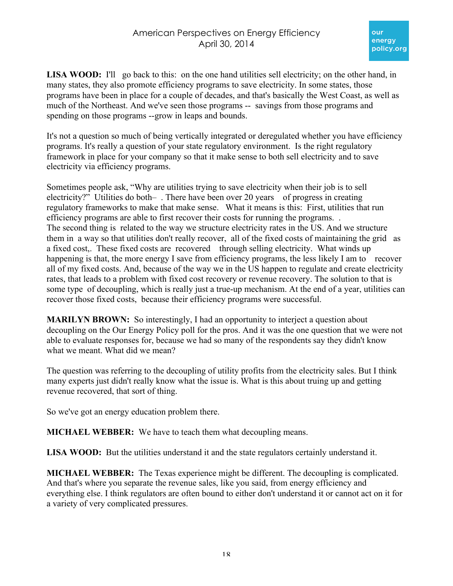LISA WOOD: I'll go back to this: on the one hand utilities sell electricity; on the other hand, in many states, they also promote efficiency programs to save electricity. In some states, those programs have been in place for a couple of decades, and that's basically the West Coast, as well as much of the Northeast. And we've seen those programs -- savings from those programs and spending on those programs --grow in leaps and bounds.

It's not a question so much of being vertically integrated or deregulated whether you have efficiency programs. It's really a question of your state regulatory environment. Is the right regulatory framework in place for your company so that it make sense to both sell electricity and to save electricity via efficiency programs.

Sometimes people ask, "Why are utilities trying to save electricity when their job is to sell electricity?" Utilities do both–. There have been over 20 years of progress in creating regulatory frameworks to make that make sense. What it means is this: First, utilities that run efficiency programs are able to first recover their costs for running the programs. . The second thing is related to the way we structure electricity rates in the US. And we structure them in a way so that utilities don't really recover, all of the fixed costs of maintaining the grid as a fixed cost,. These fixed costs are recovered through selling electricity. What winds up happening is that, the more energy I save from efficiency programs, the less likely I am to recover all of my fixed costs. And, because of the way we in the US happen to regulate and create electricity rates, that leads to a problem with fixed cost recovery or revenue recovery. The solution to that is some type of decoupling, which is really just a true-up mechanism. At the end of a year, utilities can recover those fixed costs, because their efficiency programs were successful.

**MARILYN BROWN:** So interestingly, I had an opportunity to interject a question about decoupling on the Our Energy Policy poll for the pros. And it was the one question that we were not able to evaluate responses for, because we had so many of the respondents say they didn't know what we meant. What did we mean?

The question was referring to the decoupling of utility profits from the electricity sales. But I think many experts just didn't really know what the issue is. What is this about truing up and getting revenue recovered, that sort of thing.

So we've got an energy education problem there.

**MICHAEL WEBBER:** We have to teach them what decoupling means.

**LISA WOOD:** But the utilities understand it and the state regulators certainly understand it.

**MICHAEL WEBBER:** The Texas experience might be different. The decoupling is complicated. And that's where you separate the revenue sales, like you said, from energy efficiency and everything else. I think regulators are often bound to either don't understand it or cannot act on it for a variety of very complicated pressures.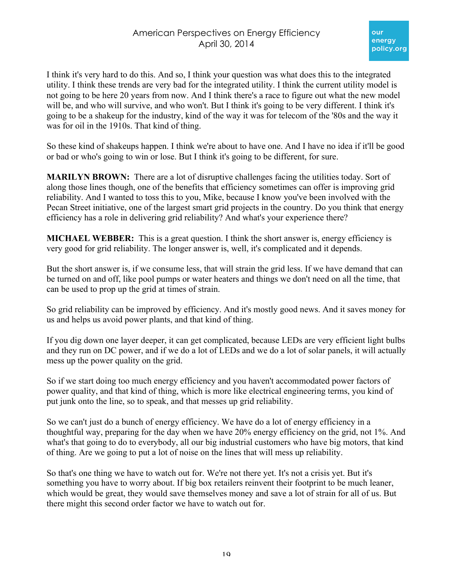# American Perspectives on Energy Efficiency April 30, 2014

I think it's very hard to do this. And so, I think your question was what does this to the integrated utility. I think these trends are very bad for the integrated utility. I think the current utility model is not going to be here 20 years from now. And I think there's a race to figure out what the new model will be, and who will survive, and who won't. But I think it's going to be very different. I think it's going to be a shakeup for the industry, kind of the way it was for telecom of the '80s and the way it was for oil in the 1910s. That kind of thing.

So these kind of shakeups happen. I think we're about to have one. And I have no idea if it'll be good or bad or who's going to win or lose. But I think it's going to be different, for sure.

**MARILYN BROWN:** There are a lot of disruptive challenges facing the utilities today. Sort of along those lines though, one of the benefits that efficiency sometimes can offer is improving grid reliability. And I wanted to toss this to you, Mike, because I know you've been involved with the Pecan Street initiative, one of the largest smart grid projects in the country. Do you think that energy efficiency has a role in delivering grid reliability? And what's your experience there?

**MICHAEL WEBBER:** This is a great question. I think the short answer is, energy efficiency is very good for grid reliability. The longer answer is, well, it's complicated and it depends.

But the short answer is, if we consume less, that will strain the grid less. If we have demand that can be turned on and off, like pool pumps or water heaters and things we don't need on all the time, that can be used to prop up the grid at times of strain.

So grid reliability can be improved by efficiency. And it's mostly good news. And it saves money for us and helps us avoid power plants, and that kind of thing.

If you dig down one layer deeper, it can get complicated, because LEDs are very efficient light bulbs and they run on DC power, and if we do a lot of LEDs and we do a lot of solar panels, it will actually mess up the power quality on the grid.

So if we start doing too much energy efficiency and you haven't accommodated power factors of power quality, and that kind of thing, which is more like electrical engineering terms, you kind of put junk onto the line, so to speak, and that messes up grid reliability.

So we can't just do a bunch of energy efficiency. We have do a lot of energy efficiency in a thoughtful way, preparing for the day when we have 20% energy efficiency on the grid, not 1%. And what's that going to do to everybody, all our big industrial customers who have big motors, that kind of thing. Are we going to put a lot of noise on the lines that will mess up reliability.

So that's one thing we have to watch out for. We're not there yet. It's not a crisis yet. But it's something you have to worry about. If big box retailers reinvent their footprint to be much leaner, which would be great, they would save themselves money and save a lot of strain for all of us. But there might this second order factor we have to watch out for.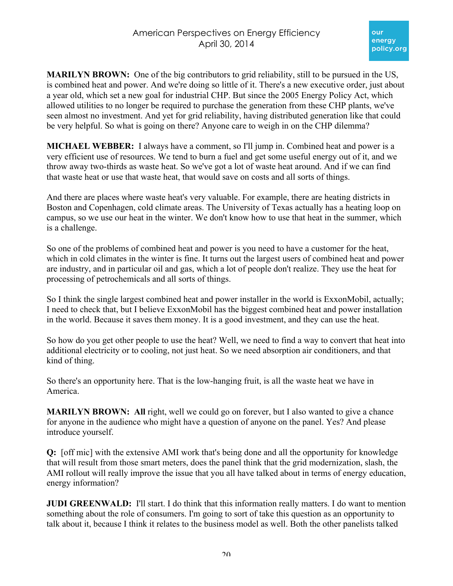**MARILYN BROWN:** One of the big contributors to grid reliability, still to be pursued in the US, is combined heat and power. And we're doing so little of it. There's a new executive order, just about a year old, which set a new goal for industrial CHP. But since the 2005 Energy Policy Act, which allowed utilities to no longer be required to purchase the generation from these CHP plants, we've seen almost no investment. And yet for grid reliability, having distributed generation like that could be very helpful. So what is going on there? Anyone care to weigh in on the CHP dilemma?

**MICHAEL WEBBER:** I always have a comment, so I'll jump in. Combined heat and power is a very efficient use of resources. We tend to burn a fuel and get some useful energy out of it, and we throw away two-thirds as waste heat. So we've got a lot of waste heat around. And if we can find that waste heat or use that waste heat, that would save on costs and all sorts of things.

And there are places where waste heat's very valuable. For example, there are heating districts in Boston and Copenhagen, cold climate areas. The University of Texas actually has a heating loop on campus, so we use our heat in the winter. We don't know how to use that heat in the summer, which is a challenge.

So one of the problems of combined heat and power is you need to have a customer for the heat, which in cold climates in the winter is fine. It turns out the largest users of combined heat and power are industry, and in particular oil and gas, which a lot of people don't realize. They use the heat for processing of petrochemicals and all sorts of things.

So I think the single largest combined heat and power installer in the world is ExxonMobil, actually; I need to check that, but I believe ExxonMobil has the biggest combined heat and power installation in the world. Because it saves them money. It is a good investment, and they can use the heat.

So how do you get other people to use the heat? Well, we need to find a way to convert that heat into additional electricity or to cooling, not just heat. So we need absorption air conditioners, and that kind of thing.

So there's an opportunity here. That is the low-hanging fruit, is all the waste heat we have in America.

**MARILYN BROWN:** All right, well we could go on forever, but I also wanted to give a chance for anyone in the audience who might have a question of anyone on the panel. Yes? And please introduce yourself.

**Q:** [off mic] with the extensive AMI work that's being done and all the opportunity for knowledge that will result from those smart meters, does the panel think that the grid modernization, slash, the AMI rollout will really improve the issue that you all have talked about in terms of energy education, energy information?

**JUDI GREENWALD:** I'll start. I do think that this information really matters. I do want to mention something about the role of consumers. I'm going to sort of take this question as an opportunity to talk about it, because I think it relates to the business model as well. Both the other panelists talked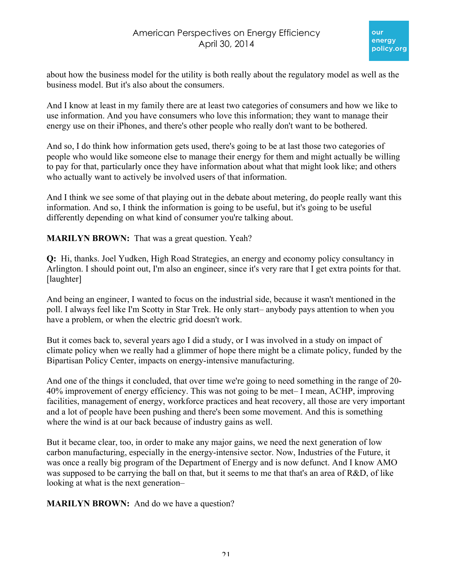

about how the business model for the utility is both really about the regulatory model as well as the business model. But it's also about the consumers.

And I know at least in my family there are at least two categories of consumers and how we like to use information. And you have consumers who love this information; they want to manage their energy use on their iPhones, and there's other people who really don't want to be bothered.

And so, I do think how information gets used, there's going to be at last those two categories of people who would like someone else to manage their energy for them and might actually be willing to pay for that, particularly once they have information about what that might look like; and others who actually want to actively be involved users of that information.

And I think we see some of that playing out in the debate about metering, do people really want this information. And so, I think the information is going to be useful, but it's going to be useful differently depending on what kind of consumer you're talking about.

**MARILYN BROWN:** That was a great question. Yeah?

**Q:** Hi, thanks. Joel Yudken, High Road Strategies, an energy and economy policy consultancy in Arlington. I should point out, I'm also an engineer, since it's very rare that I get extra points for that. [laughter]

And being an engineer, I wanted to focus on the industrial side, because it wasn't mentioned in the poll. I always feel like I'm Scotty in Star Trek. He only start– anybody pays attention to when you have a problem, or when the electric grid doesn't work.

But it comes back to, several years ago I did a study, or I was involved in a study on impact of climate policy when we really had a glimmer of hope there might be a climate policy, funded by the Bipartisan Policy Center, impacts on energy-intensive manufacturing.

And one of the things it concluded, that over time we're going to need something in the range of 20- 40% improvement of energy efficiency. This was not going to be met– I mean, ACHP, improving facilities, management of energy, workforce practices and heat recovery, all those are very important and a lot of people have been pushing and there's been some movement. And this is something where the wind is at our back because of industry gains as well.

But it became clear, too, in order to make any major gains, we need the next generation of low carbon manufacturing, especially in the energy-intensive sector. Now, Industries of the Future, it was once a really big program of the Department of Energy and is now defunct. And I know AMO was supposed to be carrying the ball on that, but it seems to me that that's an area of R&D, of like looking at what is the next generation–

**MARILYN BROWN:** And do we have a question?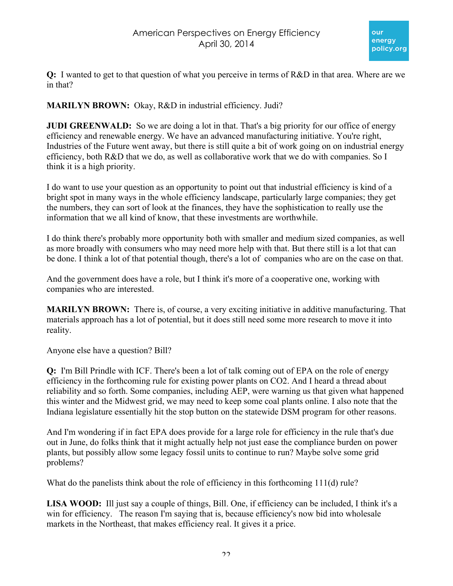

**Q:** I wanted to get to that question of what you perceive in terms of R&D in that area. Where are we in that?

**MARILYN BROWN:** Okay, R&D in industrial efficiency. Judi?

**JUDI GREENWALD:** So we are doing a lot in that. That's a big priority for our office of energy efficiency and renewable energy. We have an advanced manufacturing initiative. You're right, Industries of the Future went away, but there is still quite a bit of work going on on industrial energy efficiency, both R&D that we do, as well as collaborative work that we do with companies. So I think it is a high priority.

I do want to use your question as an opportunity to point out that industrial efficiency is kind of a bright spot in many ways in the whole efficiency landscape, particularly large companies; they get the numbers, they can sort of look at the finances, they have the sophistication to really use the information that we all kind of know, that these investments are worthwhile.

I do think there's probably more opportunity both with smaller and medium sized companies, as well as more broadly with consumers who may need more help with that. But there still is a lot that can be done. I think a lot of that potential though, there's a lot of companies who are on the case on that.

And the government does have a role, but I think it's more of a cooperative one, working with companies who are interested.

**MARILYN BROWN:** There is, of course, a very exciting initiative in additive manufacturing. That materials approach has a lot of potential, but it does still need some more research to move it into reality.

Anyone else have a question? Bill?

**Q:** I'm Bill Prindle with ICF. There's been a lot of talk coming out of EPA on the role of energy efficiency in the forthcoming rule for existing power plants on CO2. And I heard a thread about reliability and so forth. Some companies, including AEP, were warning us that given what happened this winter and the Midwest grid, we may need to keep some coal plants online. I also note that the Indiana legislature essentially hit the stop button on the statewide DSM program for other reasons.

And I'm wondering if in fact EPA does provide for a large role for efficiency in the rule that's due out in June, do folks think that it might actually help not just ease the compliance burden on power plants, but possibly allow some legacy fossil units to continue to run? Maybe solve some grid problems?

What do the panelists think about the role of efficiency in this forthcoming 111(d) rule?

**LISA WOOD:** Ill just say a couple of things, Bill. One, if efficiency can be included, I think it's a win for efficiency. The reason I'm saying that is, because efficiency's now bid into wholesale markets in the Northeast, that makes efficiency real. It gives it a price.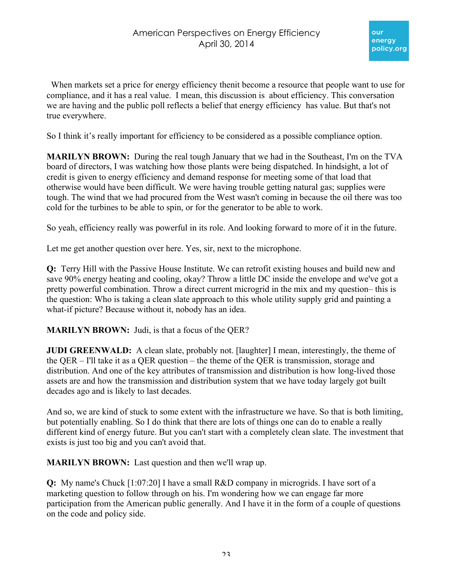When markets set a price for energy efficiency then t become a resource that people want to use for compliance, and it has a real value. I mean, this discussion is about efficiency. This conversation we are having and the public poll reflects a belief that energy efficiency has value. But that's not true everywhere.

So I think it's really important for efficiency to be considered as a possible compliance option.

**MARILYN BROWN:** During the real tough January that we had in the Southeast, I'm on the TVA board of directors, I was watching how those plants were being dispatched. In hindsight, a lot of credit is given to energy efficiency and demand response for meeting some of that load that otherwise would have been difficult. We were having trouble getting natural gas; supplies were tough. The wind that we had procured from the West wasn't coming in because the oil there was too cold for the turbines to be able to spin, or for the generator to be able to work.

So yeah, efficiency really was powerful in its role. And looking forward to more of it in the future.

Let me get another question over here. Yes, sir, next to the microphone.

**Q:** Terry Hill with the Passive House Institute. We can retrofit existing houses and build new and save 90% energy heating and cooling, okay? Throw a little DC inside the envelope and we've got a pretty powerful combination. Throw a direct current microgrid in the mix and my question– this is the question: Who is taking a clean slate approach to this whole utility supply grid and painting a what-if picture? Because without it, nobody has an idea.

**MARILYN BROWN:** Judi, is that a focus of the QER?

**JUDI GREENWALD:** A clean slate, probably not. [laughter] I mean, interestingly, the theme of the QER – I'll take it as a QER question – the theme of the QER is transmission, storage and distribution. And one of the key attributes of transmission and distribution is how long-lived those assets are and how the transmission and distribution system that we have today largely got built decades ago and is likely to last decades.

And so, we are kind of stuck to some extent with the infrastructure we have. So that is both limiting, but potentially enabling. So I do think that there are lots of things one can do to enable a really different kind of energy future. But you can't start with a completely clean slate. The investment that exists is just too big and you can't avoid that.

**MARILYN BROWN:** Last question and then we'll wrap up.

**Q:** My name's Chuck [1:07:20] I have a small R&D company in microgrids. I have sort of a marketing question to follow through on his. I'm wondering how we can engage far more participation from the American public generally. And I have it in the form of a couple of questions on the code and policy side.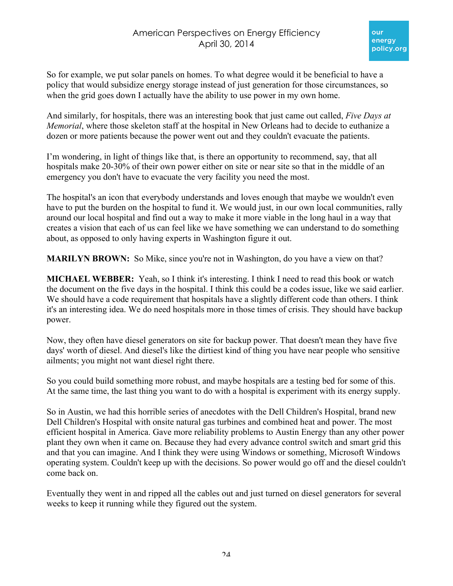So for example, we put solar panels on homes. To what degree would it be beneficial to have a policy that would subsidize energy storage instead of just generation for those circumstances, so when the grid goes down I actually have the ability to use power in my own home.

And similarly, for hospitals, there was an interesting book that just came out called, *Five Days at Memorial*, where those skeleton staff at the hospital in New Orleans had to decide to euthanize a dozen or more patients because the power went out and they couldn't evacuate the patients.

I'm wondering, in light of things like that, is there an opportunity to recommend, say, that all hospitals make 20-30% of their own power either on site or near site so that in the middle of an emergency you don't have to evacuate the very facility you need the most.

The hospital's an icon that everybody understands and loves enough that maybe we wouldn't even have to put the burden on the hospital to fund it. We would just, in our own local communities, rally around our local hospital and find out a way to make it more viable in the long haul in a way that creates a vision that each of us can feel like we have something we can understand to do something about, as opposed to only having experts in Washington figure it out.

**MARILYN BROWN:** So Mike, since you're not in Washington, do you have a view on that?

**MICHAEL WEBBER:** Yeah, so I think it's interesting. I think I need to read this book or watch the document on the five days in the hospital. I think this could be a codes issue, like we said earlier. We should have a code requirement that hospitals have a slightly different code than others. I think it's an interesting idea. We do need hospitals more in those times of crisis. They should have backup power.

Now, they often have diesel generators on site for backup power. That doesn't mean they have five days' worth of diesel. And diesel's like the dirtiest kind of thing you have near people who sensitive ailments; you might not want diesel right there.

So you could build something more robust, and maybe hospitals are a testing bed for some of this. At the same time, the last thing you want to do with a hospital is experiment with its energy supply.

So in Austin, we had this horrible series of anecdotes with the Dell Children's Hospital, brand new Dell Children's Hospital with onsite natural gas turbines and combined heat and power. The most efficient hospital in America. Gave more reliability problems to Austin Energy than any other power plant they own when it came on. Because they had every advance control switch and smart grid this and that you can imagine. And I think they were using Windows or something, Microsoft Windows operating system. Couldn't keep up with the decisions. So power would go off and the diesel couldn't come back on.

Eventually they went in and ripped all the cables out and just turned on diesel generators for several weeks to keep it running while they figured out the system.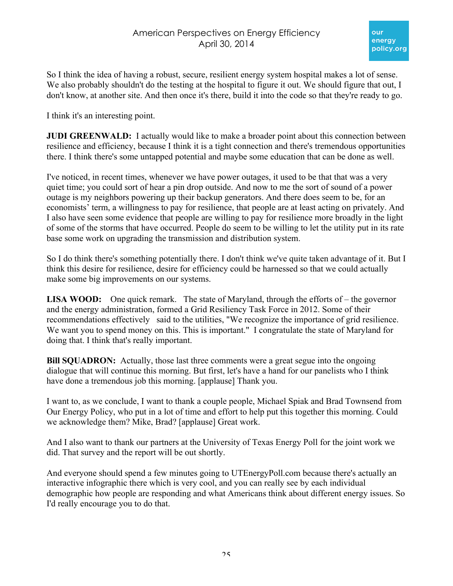So I think the idea of having a robust, secure, resilient energy system hospital makes a lot of sense. We also probably shouldn't do the testing at the hospital to figure it out. We should figure that out, I don't know, at another site. And then once it's there, build it into the code so that they're ready to go.

I think it's an interesting point.

**JUDI GREENWALD:** I actually would like to make a broader point about this connection between resilience and efficiency, because I think it is a tight connection and there's tremendous opportunities there. I think there's some untapped potential and maybe some education that can be done as well.

I've noticed, in recent times, whenever we have power outages, it used to be that that was a very quiet time; you could sort of hear a pin drop outside. And now to me the sort of sound of a power outage is my neighbors powering up their backup generators. And there does seem to be, for an economists' term, a willingness to pay for resilience, that people are at least acting on privately. And I also have seen some evidence that people are willing to pay for resilience more broadly in the light of some of the storms that have occurred. People do seem to be willing to let the utility put in its rate base some work on upgrading the transmission and distribution system.

So I do think there's something potentially there. I don't think we've quite taken advantage of it. But I think this desire for resilience, desire for efficiency could be harnessed so that we could actually make some big improvements on our systems.

**LISA WOOD:** One quick remark. The state of Maryland, through the efforts of – the governor and the energy administration, formed a Grid Resiliency Task Force in 2012. Some of their recommendations effectively said to the utilities, "We recognize the importance of grid resilience. We want you to spend money on this. This is important." I congratulate the state of Maryland for doing that. I think that's really important.

**Bill SQUADRON:** Actually, those last three comments were a great segue into the ongoing dialogue that will continue this morning. But first, let's have a hand for our panelists who I think have done a tremendous job this morning. [applause] Thank you.

I want to, as we conclude, I want to thank a couple people, Michael Spiak and Brad Townsend from Our Energy Policy, who put in a lot of time and effort to help put this together this morning. Could we acknowledge them? Mike, Brad? [applause] Great work.

And I also want to thank our partners at the University of Texas Energy Poll for the joint work we did. That survey and the report will be out shortly.

And everyone should spend a few minutes going to UTEnergyPoll.com because there's actually an interactive infographic there which is very cool, and you can really see by each individual demographic how people are responding and what Americans think about different energy issues. So I'd really encourage you to do that.